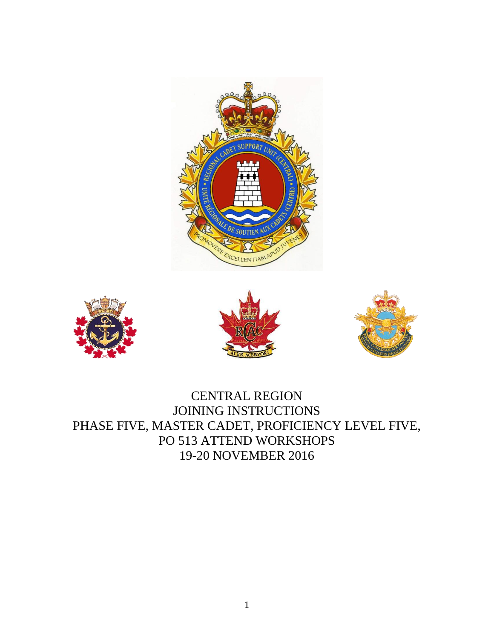







CENTRAL REGION JOINING INSTRUCTIONS PHASE FIVE, MASTER CADET, PROFICIENCY LEVEL FIVE, PO 513 ATTEND WORKSHOPS 19-20 NOVEMBER 2016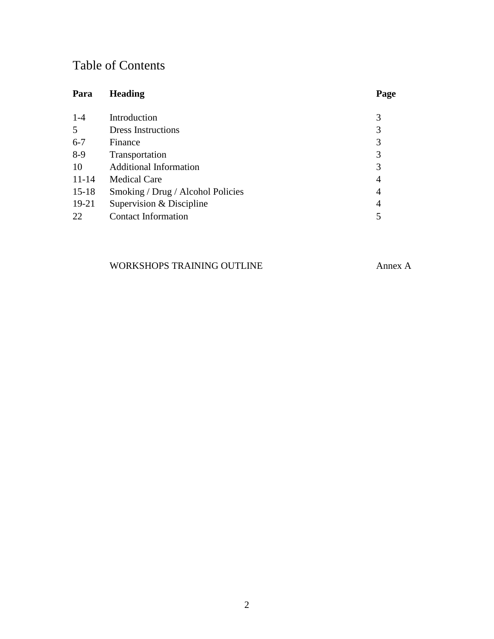# Table of Contents

| Para      | <b>Heading</b>                    | Page |
|-----------|-----------------------------------|------|
| $1 - 4$   | Introduction                      | 3    |
| 5         | <b>Dress Instructions</b>         | 3    |
| $6 - 7$   | Finance                           | 3    |
| $8-9$     | Transportation                    | 3    |
| 10        | <b>Additional Information</b>     | 3    |
| $11 - 14$ | <b>Medical Care</b>               | 4    |
| $15 - 18$ | Smoking / Drug / Alcohol Policies | 4    |
| $19-21$   | Supervision & Discipline          | 4    |
| 22        | <b>Contact Information</b>        | 5    |

## WORKSHOPS TRAINING OUTLINE Annex A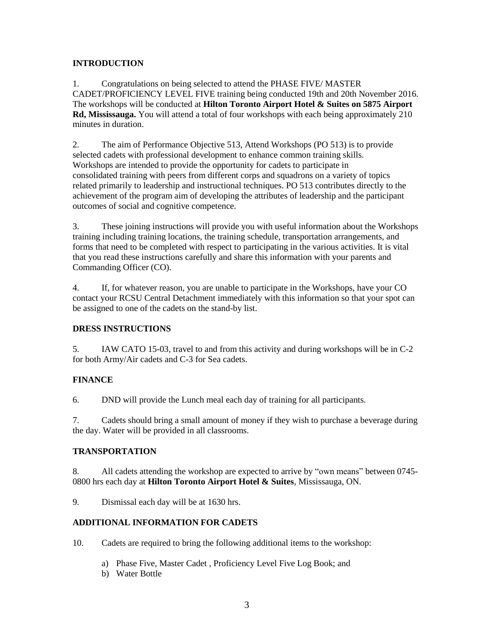#### **INTRODUCTION**

1. Congratulations on being selected to attend the PHASE FIVE/ MASTER CADET/PROFICIENCY LEVEL FIVE training being conducted 19th and 20th November 2016. The workshops will be conducted at **Hilton Toronto Airport Hotel & Suites on 5875 Airport Rd, Mississauga.** You will attend a total of four workshops with each being approximately 210 minutes in duration.

2. The aim of Performance Objective 513, Attend Workshops (PO 513) is to provide selected cadets with professional development to enhance common training skills. Workshops are intended to provide the opportunity for cadets to participate in consolidated training with peers from different corps and squadrons on a variety of topics related primarily to leadership and instructional techniques. PO 513 contributes directly to the achievement of the program aim of developing the attributes of leadership and the participant outcomes of social and cognitive competence.

3. These joining instructions will provide you with useful information about the Workshops training including training locations, the training schedule, transportation arrangements, and forms that need to be completed with respect to participating in the various activities. It is vital that you read these instructions carefully and share this information with your parents and Commanding Officer (CO).

4. If, for whatever reason, you are unable to participate in the Workshops, have your CO contact your RCSU Central Detachment immediately with this information so that your spot can be assigned to one of the cadets on the stand-by list.

#### **DRESS INSTRUCTIONS**

5. IAW CATO 15-03, travel to and from this activity and during workshops will be in C-2 for both Army/Air cadets and C-3 for Sea cadets.

#### **FINANCE**

6. DND will provide the Lunch meal each day of training for all participants.

7. Cadets should bring a small amount of money if they wish to purchase a beverage during the day. Water will be provided in all classrooms.

#### **TRANSPORTATION**

8. All cadets attending the workshop are expected to arrive by "own means" between 0745- 0800 hrs each day at **Hilton Toronto Airport Hotel & Suites**, Mississauga, ON.

9. Dismissal each day will be at 1630 hrs.

#### **ADDITIONAL INFORMATION FOR CADETS**

10. Cadets are required to bring the following additional items to the workshop:

- a) Phase Five, Master Cadet , Proficiency Level Five Log Book; and
- b) Water Bottle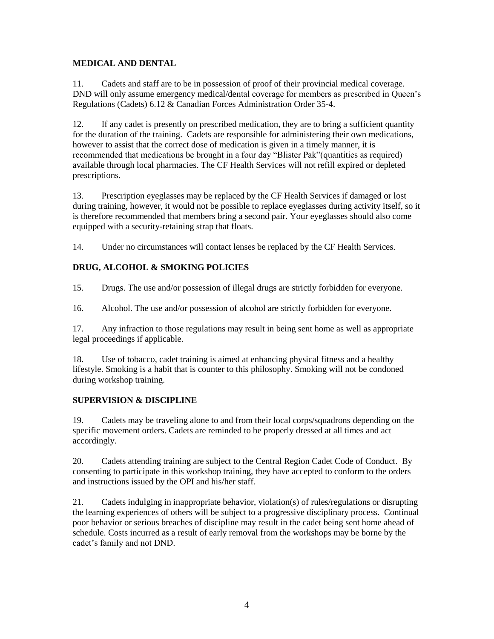#### **MEDICAL AND DENTAL**

11. Cadets and staff are to be in possession of proof of their provincial medical coverage. DND will only assume emergency medical/dental coverage for members as prescribed in Queen's Regulations (Cadets) 6.12 & Canadian Forces Administration Order 35-4.

12. If any cadet is presently on prescribed medication, they are to bring a sufficient quantity for the duration of the training. Cadets are responsible for administering their own medications, however to assist that the correct dose of medication is given in a timely manner, it is recommended that medications be brought in a four day "Blister Pak"(quantities as required) available through local pharmacies. The CF Health Services will not refill expired or depleted prescriptions.

13. Prescription eyeglasses may be replaced by the CF Health Services if damaged or lost during training, however, it would not be possible to replace eyeglasses during activity itself, so it is therefore recommended that members bring a second pair. Your eyeglasses should also come equipped with a security-retaining strap that floats.

14. Under no circumstances will contact lenses be replaced by the CF Health Services.

### **DRUG, ALCOHOL & SMOKING POLICIES**

15. Drugs. The use and/or possession of illegal drugs are strictly forbidden for everyone.

16. Alcohol. The use and/or possession of alcohol are strictly forbidden for everyone.

17. Any infraction to those regulations may result in being sent home as well as appropriate legal proceedings if applicable.

18. Use of tobacco, cadet training is aimed at enhancing physical fitness and a healthy lifestyle. Smoking is a habit that is counter to this philosophy. Smoking will not be condoned during workshop training.

#### **SUPERVISION & DISCIPLINE**

19. Cadets may be traveling alone to and from their local corps/squadrons depending on the specific movement orders. Cadets are reminded to be properly dressed at all times and act accordingly.

20. Cadets attending training are subject to the Central Region Cadet Code of Conduct. By consenting to participate in this workshop training, they have accepted to conform to the orders and instructions issued by the OPI and his/her staff.

21. Cadets indulging in inappropriate behavior, violation(s) of rules/regulations or disrupting the learning experiences of others will be subject to a progressive disciplinary process. Continual poor behavior or serious breaches of discipline may result in the cadet being sent home ahead of schedule. Costs incurred as a result of early removal from the workshops may be borne by the cadet's family and not DND.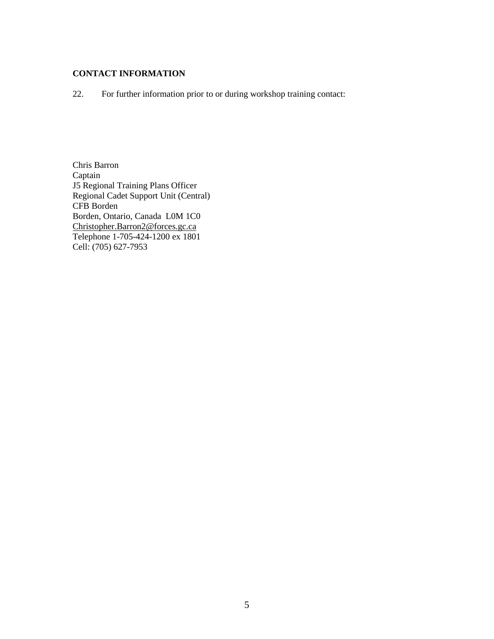#### **CONTACT INFORMATION**

22. For further information prior to or during workshop training contact:

Chris Barron Captain J5 Regional Training Plans Officer Regional Cadet Support Unit (Central) CFB Borden Borden, Ontario, Canada L0M 1C0 Christopher.Barron2@forces.gc.ca Telephone 1-705-424-1200 ex 1801 Cell: (705) 627-7953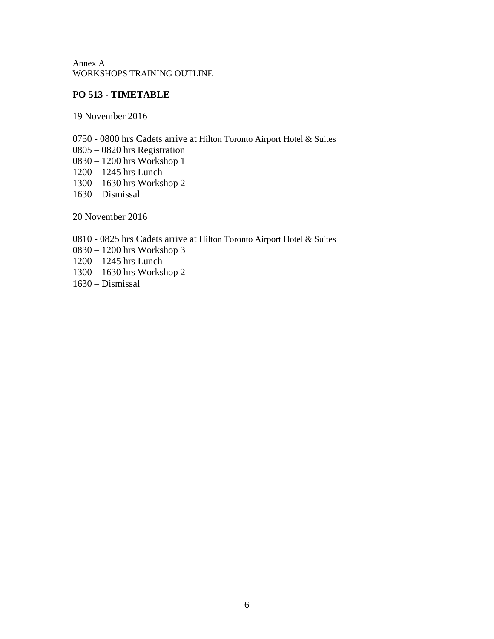Annex A WORKSHOPS TRAINING OUTLINE

#### **PO 513 - TIMETABLE**

19 November 2016

0750 - 0800 hrs Cadets arrive at Hilton Toronto Airport Hotel & Suites 0805 – 0820 hrs Registration 0830 – 1200 hrs Workshop 1 1200 – 1245 hrs Lunch 1300 – 1630 hrs Workshop 2 1630 – Dismissal

20 November 2016

0810 - 0825 hrs Cadets arrive at Hilton Toronto Airport Hotel & Suites 0830 – 1200 hrs Workshop 3 1200 – 1245 hrs Lunch 1300 – 1630 hrs Workshop 2 1630 – Dismissal